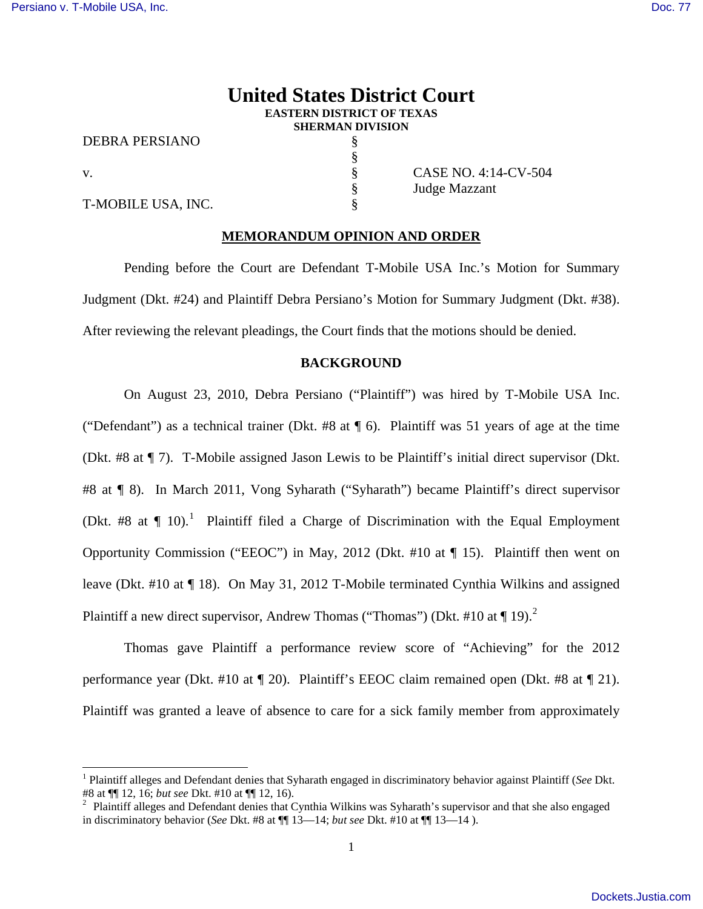# **United States District Court EASTERN DISTRICT OF TEXAS SHERMAN DIVISION**

DEBRA PERSIANO §

§

i

T-MOBILE USA, INC.

v.<br>S CASE NO. 4:14-CV-504<br>S Judge Mazzant Judge Mazzant

### **MEMORANDUM OPINION AND ORDER**

Pending before the Court are Defendant T-Mobile USA Inc.'s Motion for Summary Judgment (Dkt. #24) and Plaintiff Debra Persiano's Motion for Summary Judgment (Dkt. #38). After reviewing the relevant pleadings, the Court finds that the motions should be denied.

### **BACKGROUND**

On August 23, 2010, Debra Persiano ("Plaintiff") was hired by T-Mobile USA Inc. ("Defendant") as a technical trainer (Dkt. #8 at ¶ 6). Plaintiff was 51 years of age at the time (Dkt. #8 at ¶ 7). T-Mobile assigned Jason Lewis to be Plaintiff's initial direct supervisor (Dkt. #8 at ¶ 8). In March 2011, Vong Syharath ("Syharath") became Plaintiff's direct supervisor (Dkt. #8 at  $\P$  [1](#page-0-0)0).<sup>1</sup> Plaintiff filed a Charge of Discrimination with the Equal Employment Opportunity Commission ("EEOC") in May, 2012 (Dkt. #10 at ¶ 15). Plaintiff then went on leave (Dkt. #10 at ¶ 18). On May 31, 2012 T-Mobile terminated Cynthia Wilkins and assigned Plaintiff a new direct supervisor, Andrew Thomas ("Thomas") (Dkt. #10 at  $\P$  19).<sup>[2](#page-0-1)</sup>

Thomas gave Plaintiff a performance review score of "Achieving" for the 2012 performance year (Dkt. #10 at ¶ 20). Plaintiff's EEOC claim remained open (Dkt. #8 at ¶ 21). Plaintiff was granted a leave of absence to care for a sick family member from approximately

<span id="page-0-0"></span><sup>1</sup> Plaintiff alleges and Defendant denies that Syharath engaged in discriminatory behavior against Plaintiff (*See* Dkt. #8 at ¶¶ 12, 16; *but see* Dkt. #10 at ¶¶ 12, 16).

<span id="page-0-1"></span> $2$  Plaintiff alleges and Defendant denies that Cynthia Wilkins was Syharath's supervisor and that she also engaged in discriminatory behavior (*See* Dkt. #8 at ¶¶ 13—14; *but see* Dkt. #10 at ¶¶ 13—14 ).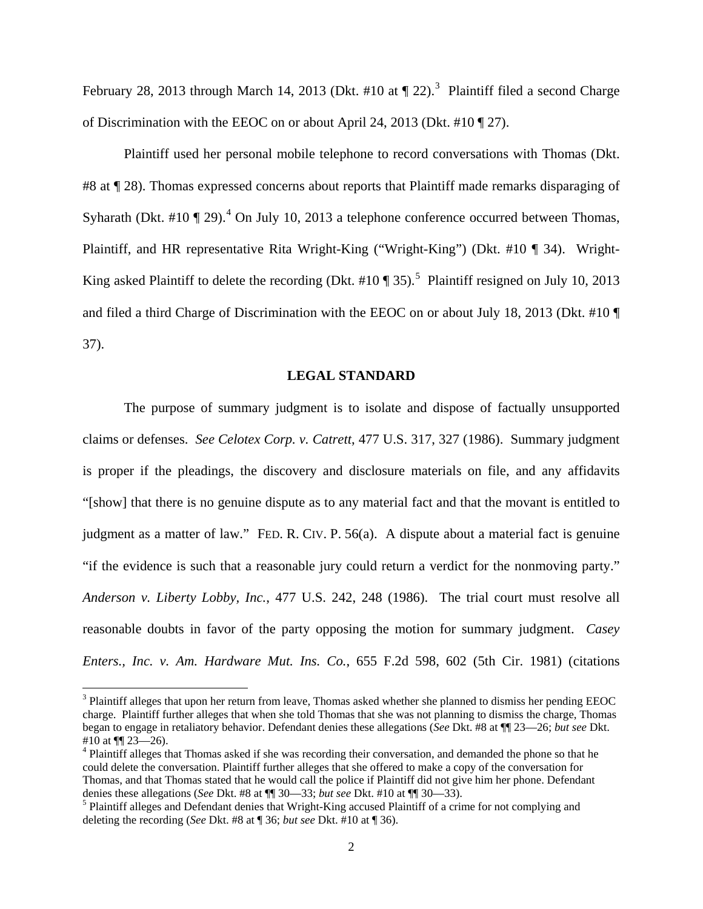February 28, 201[3](#page-1-0) through March 14, 2013 (Dkt. #10 at  $\P$  22).<sup>3</sup> Plaintiff filed a second Charge of Discrimination with the EEOC on or about April 24, 2013 (Dkt. #10 ¶ 27).

Plaintiff used her personal mobile telephone to record conversations with Thomas (Dkt. #8 at ¶ 28). Thomas expressed concerns about reports that Plaintiff made remarks disparaging of Syharath (Dkt. #10  $\P$  29).<sup>[4](#page-1-1)</sup> On July 10, 2013 a telephone conference occurred between Thomas, Plaintiff, and HR representative Rita Wright-King ("Wright-King") (Dkt. #10 ¶ 34). Wright-King asked Plaintiff to delete the recording (Dkt. #10  $\P$  3[5](#page-1-2)).<sup>5</sup> Plaintiff resigned on July 10, 2013 and filed a third Charge of Discrimination with the EEOC on or about July 18, 2013 (Dkt. #10 ¶ 37).

#### **LEGAL STANDARD**

The purpose of summary judgment is to isolate and dispose of factually unsupported claims or defenses. *See Celotex Corp. v. Catrett*, 477 U.S. 317, 327 (1986). Summary judgment is proper if the pleadings, the discovery and disclosure materials on file, and any affidavits "[show] that there is no genuine dispute as to any material fact and that the movant is entitled to judgment as a matter of law." FED. R. CIV. P. 56(a). A dispute about a material fact is genuine "if the evidence is such that a reasonable jury could return a verdict for the nonmoving party." *Anderson v. Liberty Lobby, Inc.*, 477 U.S. 242, 248 (1986). The trial court must resolve all reasonable doubts in favor of the party opposing the motion for summary judgment. *Casey Enters., Inc. v. Am. Hardware Mut. Ins. Co.*, 655 F.2d 598, 602 (5th Cir. 1981) (citations

 $\overline{\phantom{0}}$ 

<span id="page-1-0"></span> $3$  Plaintiff alleges that upon her return from leave, Thomas asked whether she planned to dismiss her pending EEOC charge. Plaintiff further alleges that when she told Thomas that she was not planning to dismiss the charge, Thomas began to engage in retaliatory behavior. Defendant denies these allegations (*See* Dkt. #8 at ¶¶ 23—26; *but see* Dkt. #10 at ¶¶ 23—26).

<span id="page-1-1"></span><sup>&</sup>lt;sup>4</sup> Plaintiff alleges that Thomas asked if she was recording their conversation, and demanded the phone so that he could delete the conversation. Plaintiff further alleges that she offered to make a copy of the conversation for Thomas, and that Thomas stated that he would call the police if Plaintiff did not give him her phone. Defendant denies these allegations (*See* Dkt. #8 at ¶¶ 30—33; *but see* Dkt. #10 at ¶¶ 30—33).

<span id="page-1-2"></span><sup>&</sup>lt;sup>5</sup> Plaintiff alleges and Defendant denies that Wright-King accused Plaintiff of a crime for not complying and deleting the recording (*See* Dkt. #8 at ¶ 36; *but see* Dkt. #10 at ¶ 36).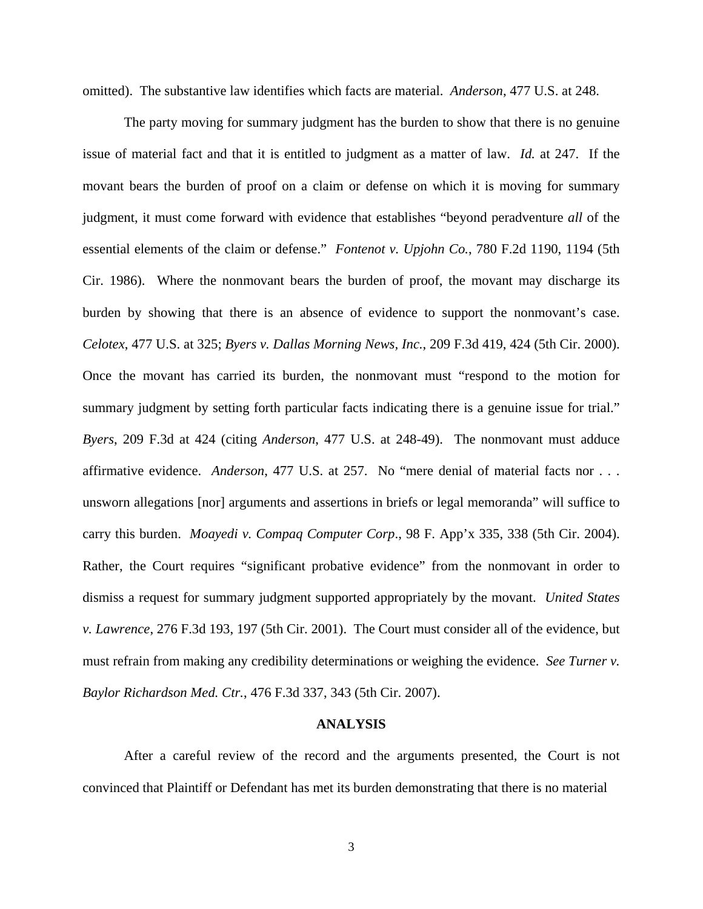omitted). The substantive law identifies which facts are material. *Anderson*, 477 U.S. at 248.

The party moving for summary judgment has the burden to show that there is no genuine issue of material fact and that it is entitled to judgment as a matter of law. *Id.* at 247. If the movant bears the burden of proof on a claim or defense on which it is moving for summary judgment, it must come forward with evidence that establishes "beyond peradventure *all* of the essential elements of the claim or defense." *Fontenot v. Upjohn Co.*, 780 F.2d 1190, 1194 (5th Cir. 1986). Where the nonmovant bears the burden of proof, the movant may discharge its burden by showing that there is an absence of evidence to support the nonmovant's case. *Celotex*, 477 U.S. at 325; *Byers v. Dallas Morning News, Inc.*, 209 F.3d 419, 424 (5th Cir. 2000). Once the movant has carried its burden, the nonmovant must "respond to the motion for summary judgment by setting forth particular facts indicating there is a genuine issue for trial." *Byers*, 209 F.3d at 424 (citing *Anderson*, 477 U.S. at 248-49). The nonmovant must adduce affirmative evidence. *Anderson*, 477 U.S. at 257. No "mere denial of material facts nor . . . unsworn allegations [nor] arguments and assertions in briefs or legal memoranda" will suffice to carry this burden. *Moayedi v. Compaq Computer Corp*., 98 F. App'x 335, 338 (5th Cir. 2004). Rather, the Court requires "significant probative evidence" from the nonmovant in order to dismiss a request for summary judgment supported appropriately by the movant. *United States v. Lawrence*, 276 F.3d 193, 197 (5th Cir. 2001). The Court must consider all of the evidence, but must refrain from making any credibility determinations or weighing the evidence. *See Turner v. Baylor Richardson Med. Ctr.*, 476 F.3d 337, 343 (5th Cir. 2007).

#### **ANALYSIS**

After a careful review of the record and the arguments presented, the Court is not convinced that Plaintiff or Defendant has met its burden demonstrating that there is no material